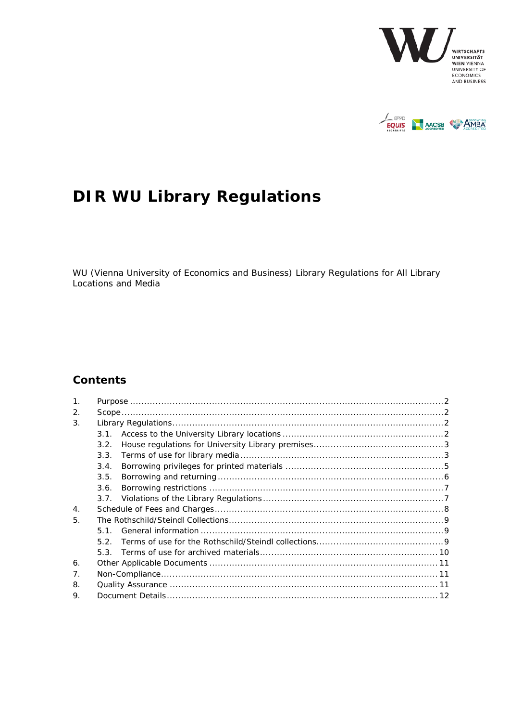



# **DIR WU Library Regulations**

WU (Vienna University of Economics and Business) Library Regulations for All Library **Locations and Media** 

### **Contents**

| $\mathbf{1}$ .   |      |
|------------------|------|
| 2.               |      |
| 3.               |      |
|                  | 3.1. |
|                  | 3.2. |
|                  | 3.3. |
|                  | 3.4. |
|                  | 3.5. |
|                  | 3.6. |
|                  |      |
| $\overline{4}$ . |      |
| 5.               |      |
|                  | 51   |
|                  | 5.2. |
|                  |      |
| 6.               |      |
| 7 <sub>1</sub>   |      |
| 8.               |      |
| 9.               |      |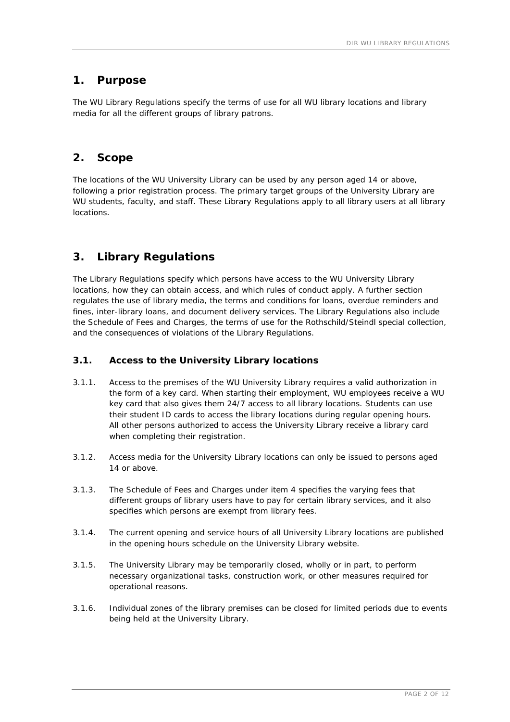### **1. Purpose**

The WU Library Regulations specify the terms of use for all WU library locations and library media for all the different groups of library patrons.

### **2. Scope**

The locations of the WU University Library can be used by any person aged 14 or above, following a prior registration process. The primary target groups of the University Library are WU students, faculty, and staff. These Library Regulations apply to all library users at all library locations.

## **3. Library Regulations**

The Library Regulations specify which persons have access to the WU University Library locations, how they can obtain access, and which rules of conduct apply. A further section regulates the use of library media, the terms and conditions for loans, overdue reminders and fines, inter-library loans, and document delivery services. The Library Regulations also include the Schedule of Fees and Charges, the terms of use for the Rothschild/Steindl special collection, and the consequences of violations of the Library Regulations.

#### **3.1. Access to the University Library locations**

- 3.1.1. Access to the premises of the WU University Library requires a valid authorization in the form of a key card. When starting their employment, WU employees receive a WU key card that also gives them 24/7 access to all library locations. Students can use their student ID cards to access the library locations during regular opening hours. All other persons authorized to access the University Library receive a library card when completing their registration.
- 3.1.2. Access media for the University Library locations can only be issued to persons aged 14 or above.
- 3.1.3. The Schedule of Fees and Charges under item 4 specifies the varying fees that different groups of library users have to pay for certain library services, and it also specifies which persons are exempt from library fees.
- 3.1.4. The current opening and service hours of all University Library locations are published in the opening hours schedule on the University Library website.
- 3.1.5. The University Library may be temporarily closed, wholly or in part, to perform necessary organizational tasks, construction work, or other measures required for operational reasons.
- 3.1.6. Individual zones of the library premises can be closed for limited periods due to events being held at the University Library.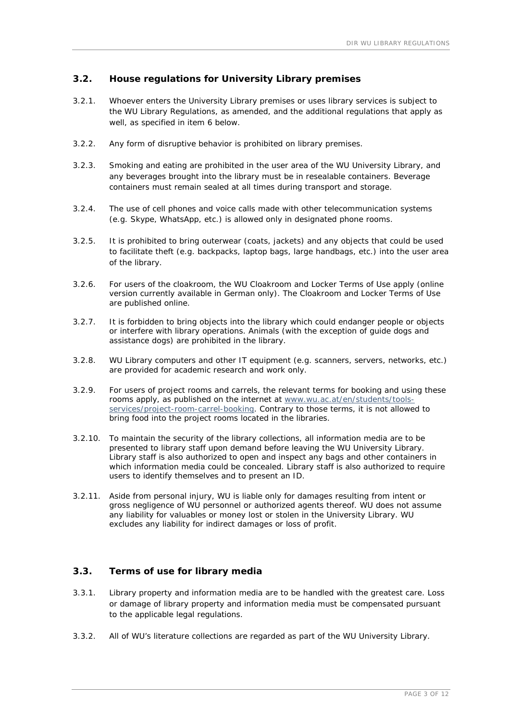#### **3.2. House regulations for University Library premises**

- 3.2.1. Whoever enters the University Library premises or uses library services is subject to the WU Library Regulations, as amended, and the additional regulations that apply as well, as specified in item 6 below.
- 3.2.2. Any form of disruptive behavior is prohibited on library premises.
- 3.2.3. Smoking and eating are prohibited in the user area of the WU University Library, and any beverages brought into the library must be in resealable containers. Beverage containers must remain sealed at all times during transport and storage.
- 3.2.4. The use of cell phones and voice calls made with other telecommunication systems (e.g. Skype, WhatsApp, etc.) is allowed only in designated phone rooms.
- 3.2.5. It is prohibited to bring outerwear (coats, jackets) and any objects that could be used to facilitate theft (e.g. backpacks, laptop bags, large handbags, etc.) into the user area of the library.
- 3.2.6. For users of the cloakroom, the WU Cloakroom and Locker Terms of Use apply (online version currently available in German only). The Cloakroom and Locker Terms of Use are published online.
- 3.2.7. It is forbidden to bring objects into the library which could endanger people or objects or interfere with library operations. Animals (with the exception of guide dogs and assistance dogs) are prohibited in the library.
- 3.2.8. WU Library computers and other IT equipment (e.g. scanners, servers, networks, etc.) are provided for academic research and work only.
- 3.2.9. For users of project rooms and carrels, the relevant terms for booking and using these rooms apply, as published on the internet at www.wu.ac.at/en/students/toolsservices/project-room-carrel-booking. Contrary to those terms, it is not allowed to bring food into the project rooms located in the libraries.
- 3.2.10. To maintain the security of the library collections, all information media are to be presented to library staff upon demand before leaving the WU University Library. Library staff is also authorized to open and inspect any bags and other containers in which information media could be concealed. Library staff is also authorized to require users to identify themselves and to present an ID.
- 3.2.11. Aside from personal injury, WU is liable only for damages resulting from intent or gross negligence of WU personnel or authorized agents thereof. WU does not assume any liability for valuables or money lost or stolen in the University Library. WU excludes any liability for indirect damages or loss of profit.

#### **3.3. Terms of use for library media**

- 3.3.1. Library property and information media are to be handled with the greatest care. Loss or damage of library property and information media must be compensated pursuant to the applicable legal regulations.
- 3.3.2. All of WU's literature collections are regarded as part of the WU University Library.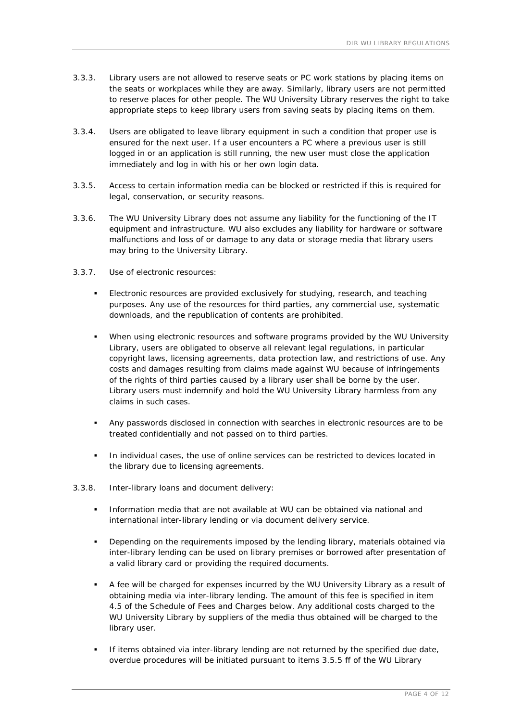- 3.3.3. Library users are not allowed to reserve seats or PC work stations by placing items on the seats or workplaces while they are away. Similarly, library users are not permitted to reserve places for other people. The WU University Library reserves the right to take appropriate steps to keep library users from saving seats by placing items on them.
- 3.3.4. Users are obligated to leave library equipment in such a condition that proper use is ensured for the next user. If a user encounters a PC where a previous user is still logged in or an application is still running, the new user must close the application immediately and log in with his or her own login data.
- 3.3.5. Access to certain information media can be blocked or restricted if this is required for legal, conservation, or security reasons.
- 3.3.6. The WU University Library does not assume any liability for the functioning of the IT equipment and infrastructure. WU also excludes any liability for hardware or software malfunctions and loss of or damage to any data or storage media that library users may bring to the University Library.
- 3.3.7. Use of electronic resources:
	- Electronic resources are provided exclusively for studying, research, and teaching purposes. Any use of the resources for third parties, any commercial use, systematic downloads, and the republication of contents are prohibited.
	- When using electronic resources and software programs provided by the WU University Library, users are obligated to observe all relevant legal regulations, in particular copyright laws, licensing agreements, data protection law, and restrictions of use. Any costs and damages resulting from claims made against WU because of infringements of the rights of third parties caused by a library user shall be borne by the user. Library users must indemnify and hold the WU University Library harmless from any claims in such cases.
	- Any passwords disclosed in connection with searches in electronic resources are to be treated confidentially and not passed on to third parties.
	- **In individual cases, the use of online services can be restricted to devices located in** the library due to licensing agreements.
- 3.3.8. Inter-library loans and document delivery:
	- Information media that are not available at WU can be obtained via national and international inter-library lending or via document delivery service.
	- Depending on the requirements imposed by the lending library, materials obtained via inter-library lending can be used on library premises or borrowed after presentation of a valid library card or providing the required documents.
	- A fee will be charged for expenses incurred by the WU University Library as a result of obtaining media via inter-library lending. The amount of this fee is specified in item 4.5 of the Schedule of Fees and Charges below. Any additional costs charged to the WU University Library by suppliers of the media thus obtained will be charged to the library user.
	- If items obtained via inter-library lending are not returned by the specified due date, overdue procedures will be initiated pursuant to items 3.5.5 ff of the WU Library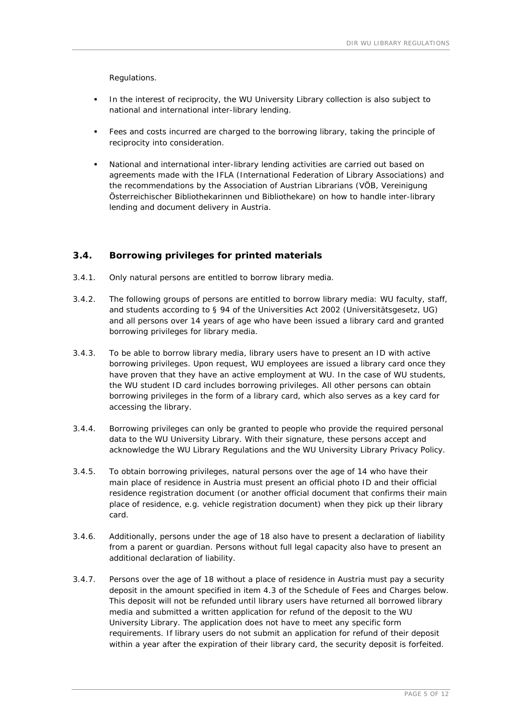Regulations.

- In the interest of reciprocity, the WU University Library collection is also subject to national and international inter-library lending.
- Fees and costs incurred are charged to the borrowing library, taking the principle of reciprocity into consideration.
- National and international inter-library lending activities are carried out based on agreements made with the IFLA (International Federation of Library Associations) and the recommendations by the Association of Austrian Librarians (VÖB, *Vereinigung Österreichischer Bibliothekarinnen und Bibliothekare*) on how to handle inter-library lending and document delivery in Austria.

#### **3.4. Borrowing privileges for printed materials**

- 3.4.1. Only natural persons are entitled to borrow library media.
- 3.4.2. The following groups of persons are entitled to borrow library media: WU faculty, staff, and students according to § 94 of the Universities Act 2002 (*Universitätsgesetz*, UG) and all persons over 14 years of age who have been issued a library card and granted borrowing privileges for library media.
- 3.4.3. To be able to borrow library media, library users have to present an ID with active borrowing privileges. Upon request, WU employees are issued a library card once they have proven that they have an active employment at WU. In the case of WU students, the WU student ID card includes borrowing privileges. All other persons can obtain borrowing privileges in the form of a library card, which also serves as a key card for accessing the library.
- 3.4.4. Borrowing privileges can only be granted to people who provide the required personal data to the WU University Library. With their signature, these persons accept and acknowledge the WU Library Regulations and the WU University Library Privacy Policy.
- 3.4.5. To obtain borrowing privileges, natural persons over the age of 14 who have their main place of residence in Austria must present an official photo ID and their official residence registration document (or another official document that confirms their main place of residence, e.g. vehicle registration document) when they pick up their library card.
- 3.4.6. Additionally, persons under the age of 18 also have to present a declaration of liability from a parent or guardian. Persons without full legal capacity also have to present an additional declaration of liability.
- 3.4.7. Persons over the age of 18 without a place of residence in Austria must pay a security deposit in the amount specified in item 4.3 of the Schedule of Fees and Charges below. This deposit will not be refunded until library users have returned all borrowed library media and submitted a written application for refund of the deposit to the WU University Library. The application does not have to meet any specific form requirements. If library users do not submit an application for refund of their deposit within a year after the expiration of their library card, the security deposit is forfeited.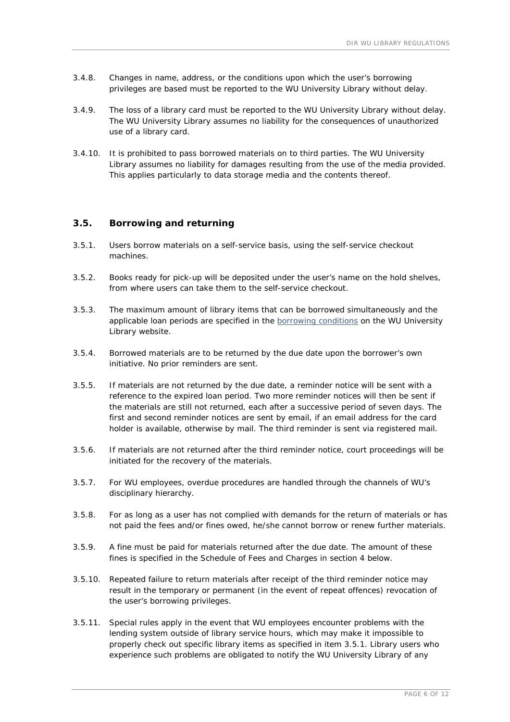- 3.4.8. Changes in name, address, or the conditions upon which the user's borrowing privileges are based must be reported to the WU University Library without delay.
- 3.4.9. The loss of a library card must be reported to the WU University Library without delay. The WU University Library assumes no liability for the consequences of unauthorized use of a library card.
- 3.4.10. It is prohibited to pass borrowed materials on to third parties. The WU University Library assumes no liability for damages resulting from the use of the media provided. This applies particularly to data storage media and the contents thereof.

#### **3.5. Borrowing and returning**

- 3.5.1. Users borrow materials on a self-service basis, using the self-service checkout machines.
- 3.5.2. Books ready for pick-up will be deposited under the user's name on the hold shelves, from where users can take them to the self-service checkout.
- 3.5.3. The maximum amount of library items that can be borrowed simultaneously and the applicable loan periods are specified in the borrowing conditions on the WU University Library website.
- 3.5.4. Borrowed materials are to be returned by the due date upon the borrower's own initiative. No prior reminders are sent.
- 3.5.5. If materials are not returned by the due date, a reminder notice will be sent with a reference to the expired loan period. Two more reminder notices will then be sent if the materials are still not returned, each after a successive period of seven days. The first and second reminder notices are sent by email, if an email address for the card holder is available, otherwise by mail. The third reminder is sent via registered mail.
- 3.5.6. If materials are not returned after the third reminder notice, court proceedings will be initiated for the recovery of the materials.
- 3.5.7. For WU employees, overdue procedures are handled through the channels of WU's disciplinary hierarchy.
- 3.5.8. For as long as a user has not complied with demands for the return of materials or has not paid the fees and/or fines owed, he/she cannot borrow or renew further materials.
- 3.5.9. A fine must be paid for materials returned after the due date. The amount of these fines is specified in the Schedule of Fees and Charges in section 4 below.
- 3.5.10. Repeated failure to return materials after receipt of the third reminder notice may result in the temporary or permanent (in the event of repeat offences) revocation of the user's borrowing privileges.
- 3.5.11. Special rules apply in the event that WU employees encounter problems with the lending system outside of library service hours, which may make it impossible to properly check out specific library items as specified in item 3.5.1. Library users who experience such problems are obligated to notify the WU University Library of any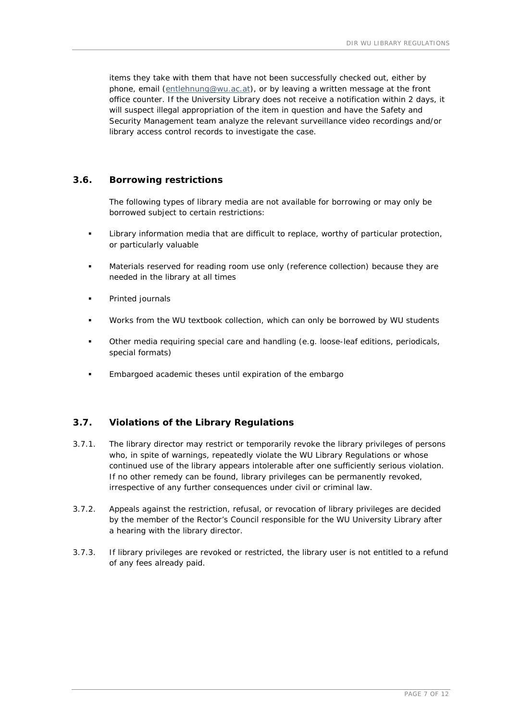items they take with them that have not been successfully checked out, either by phone, email (entlehnung@wu.ac.at), or by leaving a written message at the front office counter. If the University Library does not receive a notification within 2 days, it will suspect illegal appropriation of the item in question and have the Safety and Security Management team analyze the relevant surveillance video recordings and/or library access control records to investigate the case.

#### **3.6. Borrowing restrictions**

The following types of library media are not available for borrowing or may only be borrowed subject to certain restrictions:

- Library information media that are difficult to replace, worthy of particular protection, or particularly valuable
- Materials reserved for reading room use only (reference collection) because they are needed in the library at all times
- Printed journals
- Works from the WU textbook collection, which can only be borrowed by WU students
- Other media requiring special care and handling (e.g. loose-leaf editions, periodicals, special formats)
- **Embargoed academic theses until expiration of the embargo**

#### **3.7. Violations of the Library Regulations**

- 3.7.1. The library director may restrict or temporarily revoke the library privileges of persons who, in spite of warnings, repeatedly violate the WU Library Regulations or whose continued use of the library appears intolerable after one sufficiently serious violation. If no other remedy can be found, library privileges can be permanently revoked, irrespective of any further consequences under civil or criminal law.
- 3.7.2. Appeals against the restriction, refusal, or revocation of library privileges are decided by the member of the Rector's Council responsible for the WU University Library after a hearing with the library director.
- 3.7.3. If library privileges are revoked or restricted, the library user is not entitled to a refund of any fees already paid.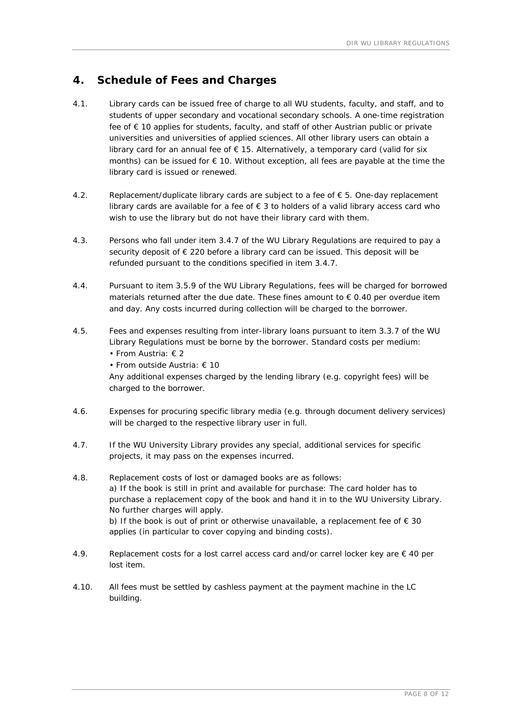### **4. Schedule of Fees and Charges**

- 4.1. Library cards can be issued free of charge to all WU students, faculty, and staff, and to students of upper secondary and vocational secondary schools. A one-time registration fee of € 10 applies for students, faculty, and staff of other Austrian public or private universities and universities of applied sciences. All other library users can obtain a library card for an annual fee of  $\epsilon$  15. Alternatively, a temporary card (valid for six months) can be issued for  $\epsilon$  10. Without exception, all fees are payable at the time the library card is issued or renewed.
- 4.2. Replacement/duplicate library cards are subject to a fee of  $\epsilon$  5. One-day replacement library cards are available for a fee of  $\epsilon$  3 to holders of a valid library access card who wish to use the library but do not have their library card with them.
- 4.3. Persons who fall under item 3.4.7 of the WU Library Regulations are required to pay a security deposit of € 220 before a library card can be issued. This deposit will be refunded pursuant to the conditions specified in item 3.4.7.
- 4.4. Pursuant to item 3.5.9 of the WU Library Regulations, fees will be charged for borrowed materials returned after the due date. These fines amount to  $\epsilon$  0.40 per overdue item and day. Any costs incurred during collection will be charged to the borrower.
- 4.5. Fees and expenses resulting from inter-library loans pursuant to item 3.3.7 of the WU Library Regulations must be borne by the borrower. Standard costs per medium: • From Austria: € 2
	- From outside Austria: € 10

Any additional expenses charged by the lending library (e.g. copyright fees) will be charged to the borrower.

- 4.6. Expenses for procuring specific library media (e.g. through document delivery services) will be charged to the respective library user in full.
- 4.7. If the WU University Library provides any special, additional services for specific projects, it may pass on the expenses incurred.
- 4.8. Replacement costs of lost or damaged books are as follows: a) If the book is still in print and available for purchase: The card holder has to purchase a replacement copy of the book and hand it in to the WU University Library. No further charges will apply. b) If the book is out of print or otherwise unavailable, a replacement fee of  $\epsilon$  30 applies (in particular to cover copying and binding costs).
- 4.9. Replacement costs for a lost carrel access card and/or carrel locker key are  $\epsilon$  40 per lost item.
- 4.10. All fees must be settled by cashless payment at the payment machine in the LC building.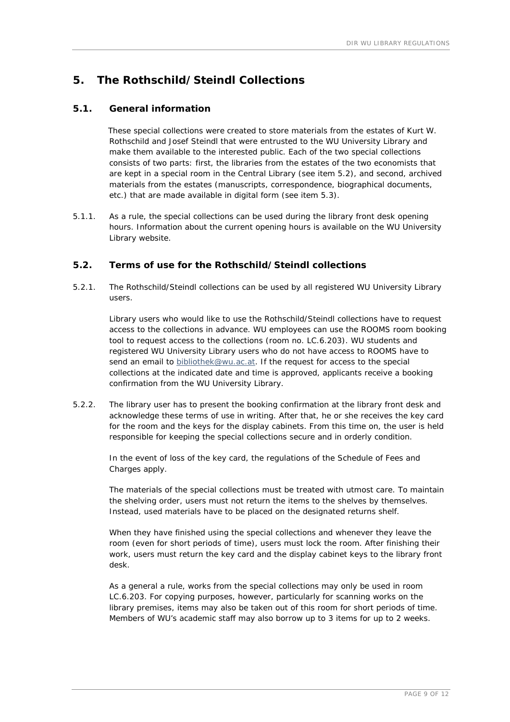# **5. The Rothschild/Steindl Collections**

#### **5.1. General information**

 These special collections were created to store materials from the estates of Kurt W. Rothschild and Josef Steindl that were entrusted to the WU University Library and make them available to the interested public. Each of the two special collections consists of two parts: first, the libraries from the estates of the two economists that are kept in a special room in the Central Library (see item 5.2), and second, archived materials from the estates (manuscripts, correspondence, biographical documents, etc.) that are made available in digital form (see item 5.3).

5.1.1. As a rule, the special collections can be used during the library front desk opening hours. Information about the current opening hours is available on the WU University Library website.

#### **5.2. Terms of use for the Rothschild/Steindl collections**

5.2.1. The Rothschild/Steindl collections can be used by all registered WU University Library users.

Library users who would like to use the Rothschild/Steindl collections have to request access to the collections in advance. WU employees can use the ROOMS room booking tool to request access to the collections (room no. LC.6.203). WU students and registered WU University Library users who do not have access to ROOMS have to send an email to bibliothek@wu.ac.at. If the request for access to the special collections at the indicated date and time is approved, applicants receive a booking confirmation from the WU University Library.

5.2.2. The library user has to present the booking confirmation at the library front desk and acknowledge these terms of use in writing. After that, he or she receives the key card for the room and the keys for the display cabinets. From this time on, the user is held responsible for keeping the special collections secure and in orderly condition.

In the event of loss of the key card, the regulations of the Schedule of Fees and Charges apply.

The materials of the special collections must be treated with utmost care. To maintain the shelving order, users must not return the items to the shelves by themselves. Instead, used materials have to be placed on the designated returns shelf.

When they have finished using the special collections and whenever they leave the room (even for short periods of time), users must lock the room. After finishing their work, users must return the key card and the display cabinet keys to the library front desk.

As a general a rule, works from the special collections may only be used in room LC.6.203. For copying purposes, however, particularly for scanning works on the library premises, items may also be taken out of this room for short periods of time. Members of WU's academic staff may also borrow up to 3 items for up to 2 weeks.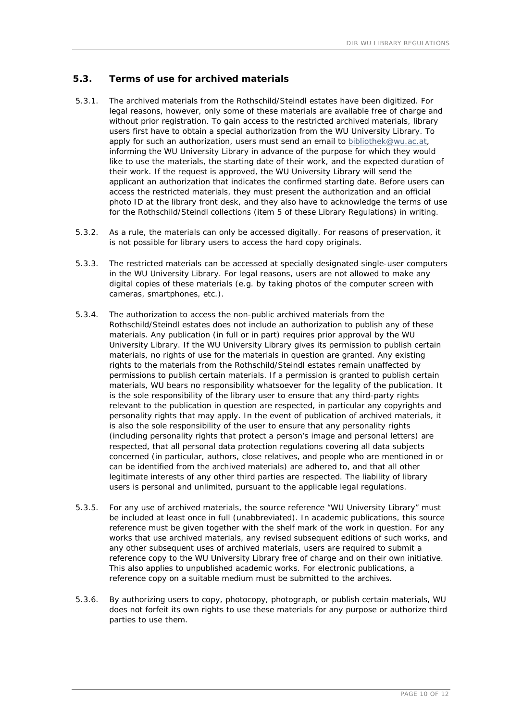#### **5.3. Terms of use for archived materials**

- 5.3.1. The archived materials from the Rothschild/Steindl estates have been digitized. For legal reasons, however, only some of these materials are available free of charge and without prior registration. To gain access to the restricted archived materials, library users first have to obtain a special authorization from the WU University Library. To apply for such an authorization, users must send an email to bibliothek@wu.ac.at, informing the WU University Library in advance of the purpose for which they would like to use the materials, the starting date of their work, and the expected duration of their work. If the request is approved, the WU University Library will send the applicant an authorization that indicates the confirmed starting date. Before users can access the restricted materials, they must present the authorization and an official photo ID at the library front desk, and they also have to acknowledge the terms of use for the Rothschild/Steindl collections (item 5 of these Library Regulations) in writing.
- 5.3.2. As a rule, the materials can only be accessed digitally. For reasons of preservation, it is not possible for library users to access the hard copy originals.
- 5.3.3. The restricted materials can be accessed at specially designated single-user computers in the WU University Library. For legal reasons, users are not allowed to make any digital copies of these materials (e.g. by taking photos of the computer screen with cameras, smartphones, etc.).
- 5.3.4. The authorization to access the non-public archived materials from the Rothschild/Steindl estates does not include an authorization to publish any of these materials. Any publication (in full or in part) requires prior approval by the WU University Library. If the WU University Library gives its permission to publish certain materials, no rights of use for the materials in question are granted. Any existing rights to the materials from the Rothschild/Steindl estates remain unaffected by permissions to publish certain materials. If a permission is granted to publish certain materials, WU bears no responsibility whatsoever for the legality of the publication. It is the sole responsibility of the library user to ensure that any third-party rights relevant to the publication in question are respected, in particular any copyrights and personality rights that may apply. In the event of publication of archived materials, it is also the sole responsibility of the user to ensure that any personality rights (including personality rights that protect a person's image and personal letters) are respected, that all personal data protection regulations covering all data subjects concerned (in particular, authors, close relatives, and people who are mentioned in or can be identified from the archived materials) are adhered to, and that all other legitimate interests of any other third parties are respected. The liability of library users is personal and unlimited, pursuant to the applicable legal regulations.
- 5.3.5. For any use of archived materials, the source reference "WU University Library" must be included at least once in full (unabbreviated). In academic publications, this source reference must be given together with the shelf mark of the work in question. For any works that use archived materials, any revised subsequent editions of such works, and any other subsequent uses of archived materials, users are required to submit a reference copy to the WU University Library free of charge and on their own initiative. This also applies to unpublished academic works. For electronic publications, a reference copy on a suitable medium must be submitted to the archives.
- 5.3.6. By authorizing users to copy, photocopy, photograph, or publish certain materials, WU does not forfeit its own rights to use these materials for any purpose or authorize third parties to use them.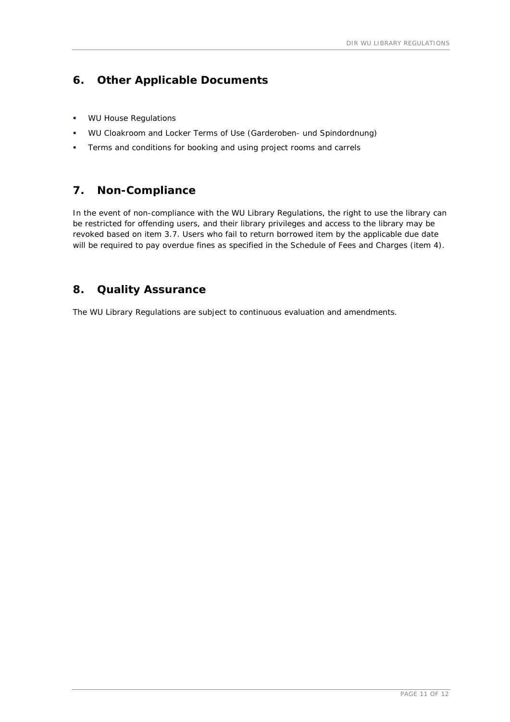### **6. Other Applicable Documents**

- **WU House Regulations**
- WU Cloakroom and Locker Terms of Use (*Garderoben- und Spindordnung*)
- **Terms and conditions for booking and using project rooms and carrels**

## **7. Non-Compliance**

In the event of non-compliance with the WU Library Regulations, the right to use the library can be restricted for offending users, and their library privileges and access to the library may be revoked based on item 3.7. Users who fail to return borrowed item by the applicable due date will be required to pay overdue fines as specified in the Schedule of Fees and Charges (item 4).

### **8. Quality Assurance**

The WU Library Regulations are subject to continuous evaluation and amendments.